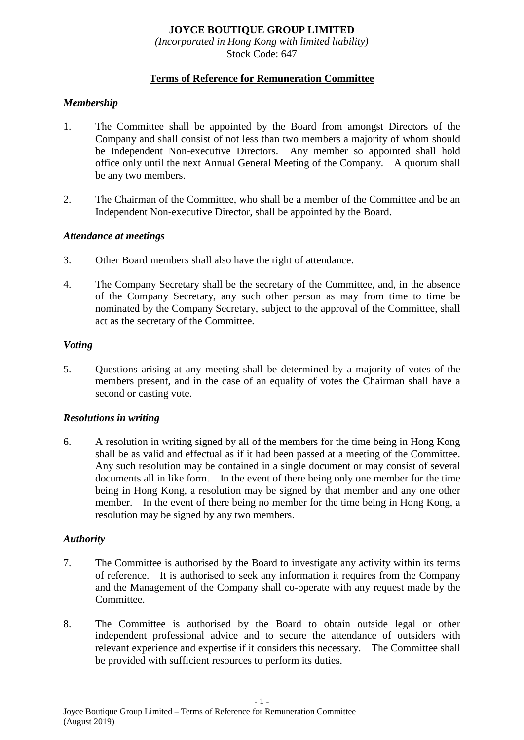# **JOYCE BOUTIQUE GROUP LIMITED**

*(Incorporated in Hong Kong with limited liability)* Stock Code: 647

## **Terms of Reference for Remuneration Committee**

## *Membership*

- 1. The Committee shall be appointed by the Board from amongst Directors of the Company and shall consist of not less than two members a majority of whom should be Independent Non-executive Directors. Any member so appointed shall hold office only until the next Annual General Meeting of the Company. A quorum shall be any two members.
- 2. The Chairman of the Committee, who shall be a member of the Committee and be an Independent Non-executive Director, shall be appointed by the Board.

#### *Attendance at meetings*

- 3. Other Board members shall also have the right of attendance.
- 4. The Company Secretary shall be the secretary of the Committee, and, in the absence of the Company Secretary, any such other person as may from time to time be nominated by the Company Secretary, subject to the approval of the Committee, shall act as the secretary of the Committee.

#### *Voting*

5. Questions arising at any meeting shall be determined by a majority of votes of the members present, and in the case of an equality of votes the Chairman shall have a second or casting vote.

### *Resolutions in writing*

6. A resolution in writing signed by all of the members for the time being in Hong Kong shall be as valid and effectual as if it had been passed at a meeting of the Committee. Any such resolution may be contained in a single document or may consist of several documents all in like form. In the event of there being only one member for the time being in Hong Kong, a resolution may be signed by that member and any one other member. In the event of there being no member for the time being in Hong Kong, a resolution may be signed by any two members.

### *Authority*

- 7. The Committee is authorised by the Board to investigate any activity within its terms of reference. It is authorised to seek any information it requires from the Company and the Management of the Company shall co-operate with any request made by the Committee.
- 8. The Committee is authorised by the Board to obtain outside legal or other independent professional advice and to secure the attendance of outsiders with relevant experience and expertise if it considers this necessary. The Committee shall be provided with sufficient resources to perform its duties.